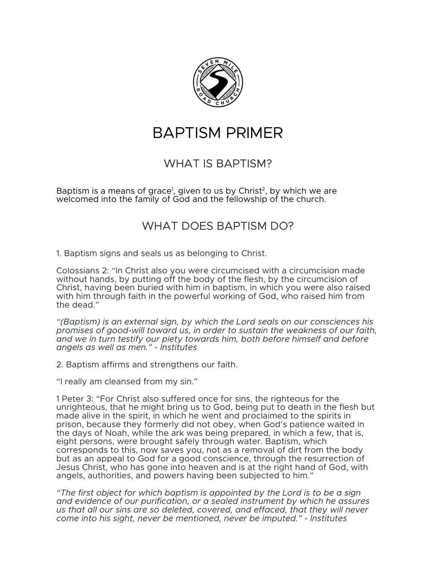

# BAPTISM PRIMER

# WHAT IS BAPTISM?

Baptism is a means of grace<sup>1</sup>, given to us by Christ<sup>2</sup>, by which we are welcomed into the family of God and the fellowship of the church.

# WHAT DOES BAPTISM DO?

1. Baptism signs and seals us as belonging to Christ.

Colossians 2: "In Christ also you were circumcised with a circumcision made without hands, by putting off the body of the flesh, by the circumcision of Christ, having been buried with him in baptism, in which you were also raised with him through faith in the powerful working of God, who raised him from the dead."

*"(Baptism) is an external sign, by which the Lord seals on our consciences his promises of good-will toward us, in order to sustain the weakness of our faith, and we in turn testify our piety towards him, both before himself and before angels as well as men." - Institutes*

2. Baptism affirms and strengthens our faith.

"I really am cleansed from my sin."

1 Peter 3: "For Christ also suffered once for sins, the righteous for the unrighteous, that he might bring us to God, being put to death in the flesh but made alive in the spirit, in which he went and proclaimed to the spirits in prison, because they formerly did not obey, when God's patience waited in the days of Noah, while the ark was being prepared, in which a few, that is, eight persons, were brought safely through water. Baptism, which corresponds to this, now saves you, not as a removal of dirt from the body but as an appeal to God for a good conscience, through the resurrection of Jesus Christ, who has gone into heaven and is at the right hand of God, with angels, authorities, and powers having been subjected to him."

*"The first object for which baptism is appointed by the Lord is to be a sign and evidence of our purification, or a sealed instrument by which he assures us that all our sins are so deleted, covered, and effaced, that they will never come into his sight, never be mentioned, never be imputed." - Institutes*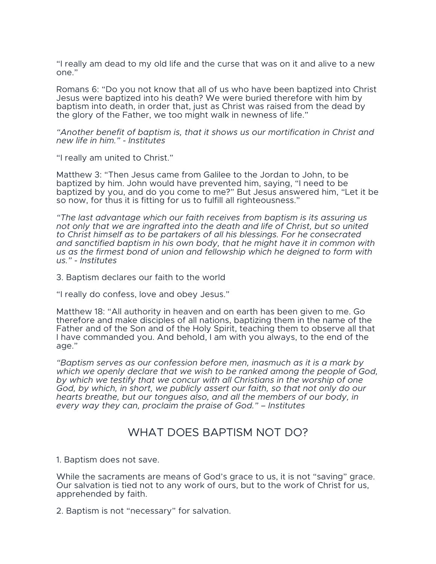"I really am dead to my old life and the curse that was on it and alive to a new one."

Romans 6: "Do you not know that all of us who have been baptized into Christ Jesus were baptized into his death? We were buried therefore with him by baptism into death, in order that, just as Christ was raised from the dead by the glory of the Father, we too might walk in newness of life."

*"Another benefit of baptism is, that it shows us our mortification in Christ and new life in him." - Institutes*

"I really am united to Christ."

Matthew 3: "Then Jesus came from Galilee to the Jordan to John, to be baptized by him. John would have prevented him, saying, "I need to be baptized by you, and do you come to me?" But Jesus answered him, "Let it be so now, for thus it is fitting for us to fulfill all righteousness."

*"The last advantage which our faith receives from baptism is its assuring us not only that we are ingrafted into the death and life of Christ, but so united to Christ himself as to be partakers of all his blessings. For he consecrated and sanctified baptism in his own body, that he might have it in common with us as the firmest bond of union and fellowship which he deigned to form with us." - Institutes*

3. Baptism declares our faith to the world

"I really do confess, love and obey Jesus."

Matthew 18: "All authority in heaven and on earth has been given to me. Go therefore and make disciples of all nations, baptizing them in the name of the Father and of the Son and of the Holy Spirit, teaching them to observe all that I have commanded you. And behold, I am with you always, to the end of the age."

*"Baptism serves as our confession before men, inasmuch as it is a mark by which we openly declare that we wish to be ranked among the people of God, by which we testify that we concur with all Christians in the worship of one God, by which, in short, we publicly assert our faith, so that not only do our hearts breathe, but our tongues also, and all the members of our body, in every way they can, proclaim the praise of God." – Institutes*

#### WHAT DOES BAPTISM NOT DO?

1. Baptism does not save.

While the sacraments are means of God's grace to us, it is not "saving" grace. Our salvation is tied not to any work of ours, but to the work of Christ for us, apprehended by faith.

2. Baptism is not "necessary" for salvation.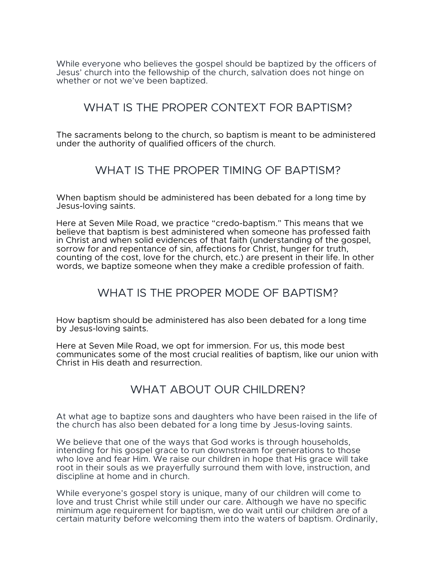While everyone who believes the gospel should be baptized by the officers of Jesus' church into the fellowship of the church, salvation does not hinge on whether or not we've been baptized.

### WHAT IS THE PROPER CONTEXT FOR BAPTISM?

The sacraments belong to the church, so baptism is meant to be administered under the authority of qualified officers of the church.

#### WHAT IS THE PROPER TIMING OF BAPTISM?

When baptism should be administered has been debated for a long time by Jesus-loving saints.

Here at Seven Mile Road, we practice "credo-baptism." This means that we believe that baptism is best administered when someone has professed faith in Christ and when solid evidences of that faith (understanding of the gospel, sorrow for and repentance of sin, affections for Christ, hunger for truth, counting of the cost, love for the church, etc.) are present in their life. In other words, we baptize someone when they make a credible profession of faith.

## WHAT IS THE PROPER MODE OF BAPTISM?

How baptism should be administered has also been debated for a long time by Jesus-loving saints.

Here at Seven Mile Road, we opt for immersion. For us, this mode best communicates some of the most crucial realities of baptism, like our union with Christ in His death and resurrection.

## WHAT ABOUT OUR CHILDREN?

At what age to baptize sons and daughters who have been raised in the life of the church has also been debated for a long time by Jesus-loving saints.

We believe that one of the ways that God works is through households, intending for his gospel grace to run downstream for generations to those who love and fear Him. We raise our children in hope that His grace will take root in their souls as we prayerfully surround them with love, instruction, and discipline at home and in church.

While everyone's gospel story is unique, many of our children will come to love and trust Christ while still under our care. Although we have no specific minimum age requirement for baptism, we do wait until our children are of a certain maturity before welcoming them into the waters of baptism. Ordinarily,